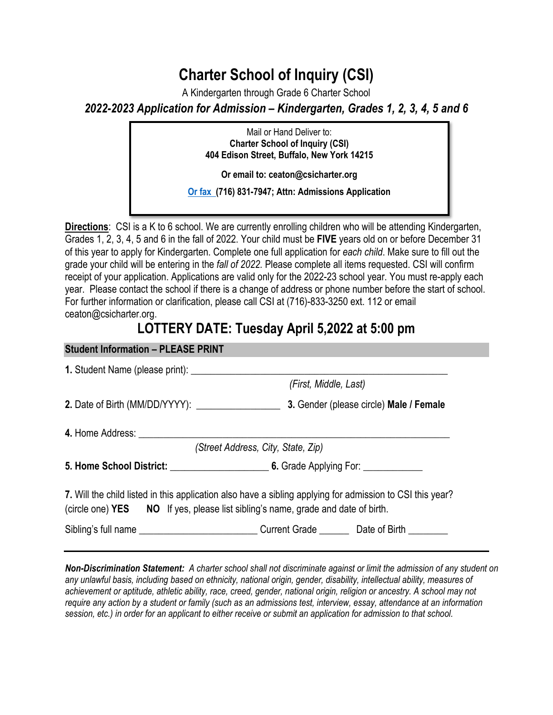## **Charter School of Inquiry (CSI)**

A Kindergarten through Grade 6 Charter School *2022-2023 Application for Admission – Kindergarten, Grades 1, 2, 3, 4, 5 and 6* 

> **Charter School of Inquiry (CSI)** Mail or Hand Deliver to: **404 Edison Street, Buffalo, New York 14215**

**Or email to: ceaton@csicharter.org** 

**Or fax (716) 831-7947; Attn: Admissions Application** 

**Directions**: CSI is a K to 6 school. We are currently enrolling children who will be attending Kindergarten, Grades 1, 2, 3, 4, 5 and 6 in the fall of 2022. Your child must be **FIVE** years old on or before December 31 of this year to apply for Kindergarten. Complete one full application for *each child*. Make sure to fill out the grade your child will be entering in the *fall of 2022.* Please complete all items requested. CSI will confirm receipt of your application. Applications are valid only for the 2022-23 school year. You must re-apply each year. Please contact the school if there is a change of address or phone number before the start of school. For further information or clarification, please call CSI at (716)-833-3250 ext. 112 or email ceaton@csicharter.org.

## **LOTTERY DATE: Tuesday April 5,2022 at 5:00 pm**

| <b>Student Information - PLEASE PRINT</b>                                        |                                                                                                           |  |
|----------------------------------------------------------------------------------|-----------------------------------------------------------------------------------------------------------|--|
|                                                                                  |                                                                                                           |  |
|                                                                                  | (First, Middle, Last)                                                                                     |  |
|                                                                                  |                                                                                                           |  |
| 4. Home Address: ________________________                                        |                                                                                                           |  |
|                                                                                  | (Street Address, City, State, Zip)                                                                        |  |
|                                                                                  |                                                                                                           |  |
| (circle one) YES NO If yes, please list sibling's name, grade and date of birth. | 7. Will the child listed in this application also have a sibling applying for admission to CSI this year? |  |
|                                                                                  | Sibling's full name ______________________________Current Grade _________Date of Birth _________          |  |
|                                                                                  |                                                                                                           |  |

*Non-Discrimination Statement: A charter school shall not discriminate against or limit the admission of any student on any unlawful basis, including based on ethnicity, national origin, gender, disability, intellectual ability, measures of achievement or aptitude, athletic ability, race, creed, gender, national origin, religion or ancestry. A school may not require any action by a student or family (such as an admissions test, interview, essay, attendance at an information session, etc.) in order for an applicant to either receive or submit an application for admission to that school.*